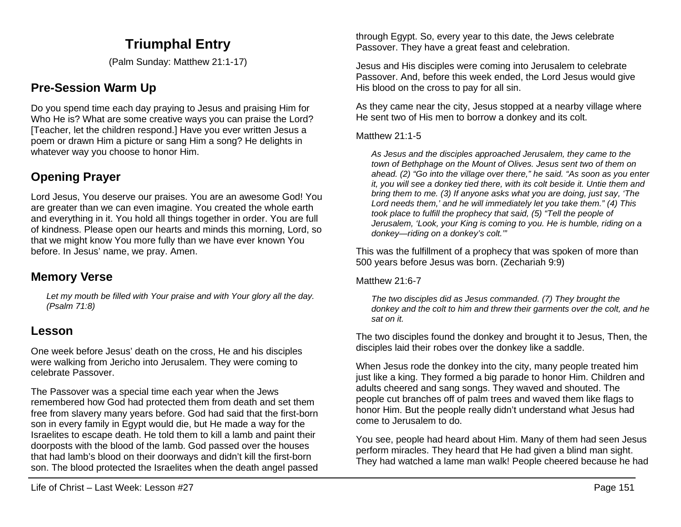# **Triumphal Entry**

(Palm Sunday: Matthew 21:1-17)

# **Pre-Session Warm Up**

Do you spend time each day praying to Jesus and praising Him for Who He is? What are some creative ways you can praise the Lord? [Teacher, let the children respond.] Have you ever written Jesus a poem or drawn Him a picture or sang Him a song? He delights in whatever way you choose to honor Him.

# **Opening Prayer**

Lord Jesus, You deserve our praises. You are an awesome God! You are greater than we can even imagine. You created the whole earth and everything in it. You hold all things together in order. You are full of kindness. Please open our hearts and minds this morning, Lord, so that we might know You more fully than we have ever known You before. In Jesus' name, we pray. Amen.

## **Memory Verse**

*Let my mouth be filled with Your praise and with Your glory all the day. (Psalm 71:8)*

### **Lesson**

One week before Jesus' death on the cross, He and his disciples were walking from Jericho into Jerusalem. They were coming to celebrate Passover.

The Passover was a special time each year when the Jews remembered how God had protected them from death and set them free from slavery many years before. God had said that the first-born son in every family in Egypt would die, but He made a way for the Israelites to escape death. He told them to kill a lamb and paint their doorposts with the blood of the lamb. God passed over the houses that had lamb's blood on their doorways and didn't kill the first-born son. The blood protected the Israelites when the death angel passed through Egypt. So, every year to this date, the Jews celebrate Passover. They have a great feast and celebration.

Jesus and His disciples were coming into Jerusalem to celebrate Passover. And, before this week ended, the Lord Jesus would give His blood on the cross to pay for all sin.

As they came near the city, Jesus stopped at a nearby village where He sent two of His men to borrow a donkey and its colt.

Matthew 21:1-5

*As Jesus and the disciples approached Jerusalem, they came to the town of Bethphage on the Mount of Olives. Jesus sent two of them on ahead. (2) "Go into the village over there," he said. "As soon as you enter it, you will see a donkey tied there, with its colt beside it. Untie them and bring them to me. (3) If anyone asks what you are doing, just say, 'The Lord needs them,' and he will immediately let you take them." (4) This took place to fulfill the prophecy that said, (5) "Tell the people of Jerusalem, 'Look, your King is coming to you. He is humble, riding on a donkey—riding on a donkey's colt.'"*

This was the fulfillment of a prophecy that was spoken of more than 500 years before Jesus was born. (Zechariah 9:9)

Matthew 21:6-7

*The two disciples did as Jesus commanded. (7) They brought the donkey and the colt to him and threw their garments over the colt, and he sat on it.*

The two disciples found the donkey and brought it to Jesus, Then, the disciples laid their robes over the donkey like a saddle.

When Jesus rode the donkey into the city, many people treated him just like a king. They formed a big parade to honor Him. Children and adults cheered and sang songs. They waved and shouted. The people cut branches off of palm trees and waved them like flags to honor Him. But the people really didn't understand what Jesus had come to Jerusalem to do.

You see, people had heard about Him. Many of them had seen Jesus perform miracles. They heard that He had given a blind man sight. They had watched a lame man walk! People cheered because he had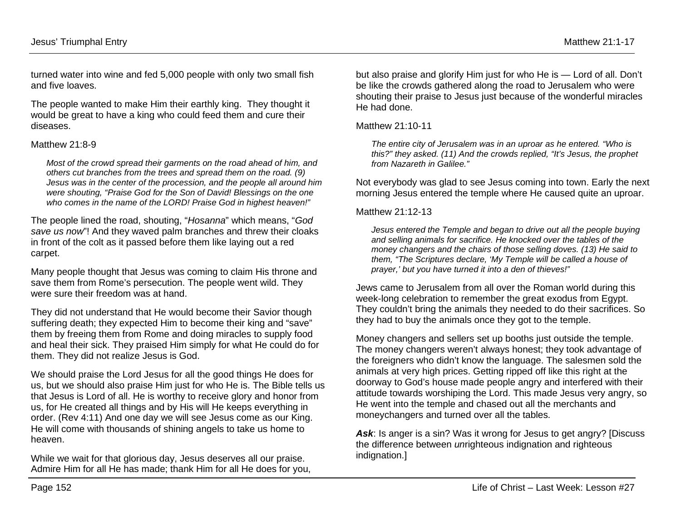turned water into wine and fed 5,000 people with only two small fish and five loaves.

The people wanted to make Him their earthly king. They thought it would be great to have a king who could feed them and cure their diseases.

#### Matthew 21:8-9

*Most of the crowd spread their garments on the road ahead of him, and others cut branches from the trees and spread them on the road. (9) Jesus was in the center of the procession, and the people all around him were shouting, "Praise God for the Son of David! Blessings on the one who comes in the name of the LORD! Praise God in highest heaven!"*

The people lined the road, shouting, "*Hosanna*" which means, "*God save us now*"! And they waved palm branches and threw their cloaks in front of the colt as it passed before them like laying out a red carpet.

Many people thought that Jesus was coming to claim His throne and save them from Rome's persecution. The people went wild. They were sure their freedom was at hand.

They did not understand that He would become their Savior though suffering death; they expected Him to become their king and "save" them by freeing them from Rome and doing miracles to supply food and heal their sick. They praised Him simply for what He could do for them. They did not realize Jesus is God.

We should praise the Lord Jesus for all the good things He does for us, but we should also praise Him just for who He is. The Bible tells us that Jesus is Lord of all. He is worthy to receive glory and honor from us, for He created all things and by His will He keeps everything in order. (Rev 4:11) And one day we will see Jesus come as our King. He will come with thousands of shining angels to take us home to heaven.

While we wait for that glorious day, Jesus deserves all our praise. Admire Him for all He has made; thank Him for all He does for you,

but also praise and glorify Him just for who He is — Lord of all. Don't be like the crowds gathered along the road to Jerusalem who were shouting their praise to Jesus just because of the wonderful miracles He had done.

Matthew 21:10-11

*The entire city of Jerusalem was in an uproar as he entered. "Who is this?" they asked. (11) And the crowds replied, "It's Jesus, the prophet from Nazareth in Galilee."*

Not everybody was glad to see Jesus coming into town. Early the next morning Jesus entered the temple where He caused quite an uproar.

Matthew 21:12-13

*Jesus entered the Temple and began to drive out all the people buying and selling animals for sacrifice. He knocked over the tables of the money changers and the chairs of those selling doves. (13) He said to them, "The Scriptures declare, 'My Temple will be called a house of prayer,' but you have turned it into a den of thieves!"*

Jews came to Jerusalem from all over the Roman world during this week-long celebration to remember the great exodus from Egypt. They couldn't bring the animals they needed to do their sacrifices. So they had to buy the animals once they got to the temple.

Money changers and sellers set up booths just outside the temple. The money changers weren't always honest; they took advantage of the foreigners who didn't know the language. The salesmen sold the animals at very high prices. Getting ripped off like this right at the doorway to God's house made people angry and interfered with their attitude towards worshiping the Lord. This made Jesus very angry, so He went into the temple and chased out all the merchants and moneychangers and turned over all the tables.

Ask: Is anger is a sin? Was it wrong for Jesus to get angry? [Discuss] the difference between *un*righteous indignation and righteous indignation.]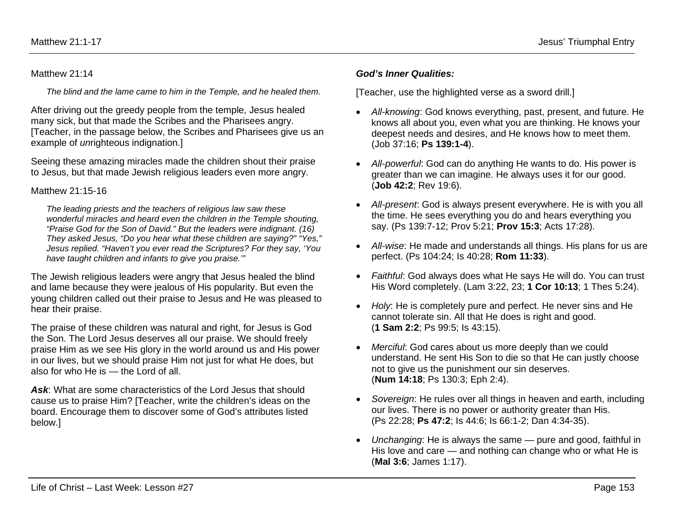#### Matthew 21:14

*The blind and the lame came to him in the Temple, and he healed them.*

After driving out the greedy people from the temple, Jesus healed many sick, but that made the Scribes and the Pharisees angry. [Teacher, in the passage below, the Scribes and Pharisees give us an example of *un*righteous indignation.]

Seeing these amazing miracles made the children shout their praise to Jesus, but that made Jewish religious leaders even more angry.

### Matthew 21:15-16

*The leading priests and the teachers of religious law saw these wonderful miracles and heard even the children in the Temple shouting, "Praise God for the Son of David." But the leaders were indignant. (16) They asked Jesus, "Do you hear what these children are saying?" "Yes," Jesus replied. "Haven't you ever read the Scriptures? For they say, 'You have taught children and infants to give you praise.'"*

The Jewish religious leaders were angry that Jesus healed the blind and lame because they were jealous of His popularity. But even the young children called out their praise to Jesus and He was pleased to hear their praise.

The praise of these children was natural and right, for Jesus is God the Son. The Lord Jesus deserves all our praise. We should freely praise Him as we see His glory in the world around us and His power in our lives, but we should praise Him not just for what He does, but also for who He is — the Lord of all.

*Ask*: What are some characteristics of the Lord Jesus that should cause us to praise Him? [Teacher, write the children's ideas on the board. Encourage them to discover some of God's attributes listed below.]

#### *God's Inner Qualities:*

[Teacher, use the highlighted verse as a sword drill.]

- *All-knowing*: God knows everything, past, present, and future. He knows all about you, even what you are thinking. He knows your deepest needs and desires, and He knows how to meet them. (Job 37:16; **Ps 139:1-4**).
- *All-powerful*: God can do anything He wants to do. His power is greater than we can imagine. He always uses it for our good. (**Job 42:2**; Rev 19:6).
- *All-present*: God is always present everywhere. He is with you all the time. He sees everything you do and hears everything you say. (Ps 139:7-12; Prov 5:21; **Prov 15:3**; Acts 17:28).
- *All-wise*: He made and understands all things. His plans for us are perfect. (Ps 104:24; Is 40:28; **Rom 11:33**).
- *Faithful*: God always does what He says He will do. You can trust His Word completely. (Lam 3:22, 23; **1 Cor 10:13**; 1 Thes 5:24).
- *Holy*: He is completely pure and perfect. He never sins and He cannot tolerate sin. All that He does is right and good. (**1 Sam 2:2**; Ps 99:5; Is 43:15).
- *Merciful*: God cares about us more deeply than we could understand. He sent His Son to die so that He can justly choose not to give us the punishment our sin deserves. (**Num 14:18**; Ps 130:3; Eph 2:4).
- *Sovereign*: He rules over all things in heaven and earth, including our lives. There is no power or authority greater than His. (Ps 22:28; **Ps 47:2**; Is 44:6; Is 66:1-2; Dan 4:34-35).
- *Unchanging*: He is always the same pure and good, faithful in His love and care — and nothing can change who or what He is (**Mal 3:6**; James 1:17).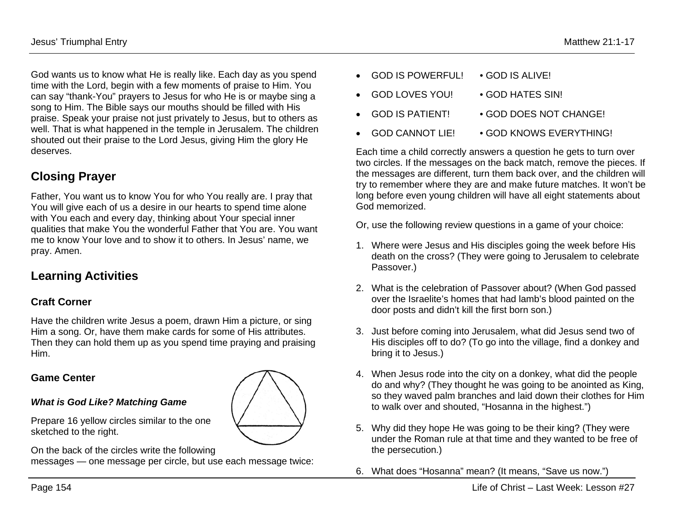God wants us to know what He is really like. Each day as you spend time with the Lord, begin with a few moments of praise to Him. You can say "thank-You" prayers to Jesus for who He is or maybe sing a song to Him. The Bible says our mouths should be filled with His praise. Speak your praise not just privately to Jesus, but to others as well. That is what happened in the temple in Jerusalem. The children shouted out their praise to the Lord Jesus, giving Him the glory He deserves.

## **Closing Prayer**

Father, You want us to know You for who You really are. I pray that You will give each of us a desire in our hearts to spend time alone with You each and every day, thinking about Your special inner qualities that make You the wonderful Father that You are. You want me to know Your love and to show it to others. In Jesus' name, we pray. Amen.

## **Learning Activities**

### **Craft Corner**

Have the children write Jesus a poem, drawn Him a picture, or sing Him a song. Or, have them make cards for some of His attributes. Then they can hold them up as you spend time praying and praising Him.

### **Game Center**

#### *What is God Like? Matching Game*

Prepare 16 yellow circles similar to the one sketched to the right.

On the back of the circles write the following messages — one message per circle, but use each message twice:

- GOD IS POWERFUL! GOD IS ALIVE!
- GOD LOVES YOU! GOD HATES SIN!
- GOD IS PATIENT! GOD DOES NOT CHANGE!
- GOD CANNOT LIE! GOD KNOWS EVERYTHING!

Each time a child correctly answers a question he gets to turn over two circles. If the messages on the back match, remove the pieces. If the messages are different, turn them back over, and the children will try to remember where they are and make future matches. It won't be long before even young children will have all eight statements about God memorized.

Or, use the following review questions in a game of your choice:

- 1. Where were Jesus and His disciples going the week before His death on the cross? (They were going to Jerusalem to celebrate Passover.)
- 2. What is the celebration of Passover about? (When God passed over the Israelite's homes that had lamb's blood painted on the door posts and didn't kill the first born son.)
- 3. Just before coming into Jerusalem, what did Jesus send two of His disciples off to do? (To go into the village, find a donkey and bring it to Jesus.)
- 4. When Jesus rode into the city on a donkey, what did the people do and why? (They thought he was going to be anointed as King, so they waved palm branches and laid down their clothes for Him to walk over and shouted, "Hosanna in the highest.")
- 5. Why did they hope He was going to be their king? (They were under the Roman rule at that time and they wanted to be free of the persecution.)
- 6. What does "Hosanna" mean? (It means, "Save us now.")

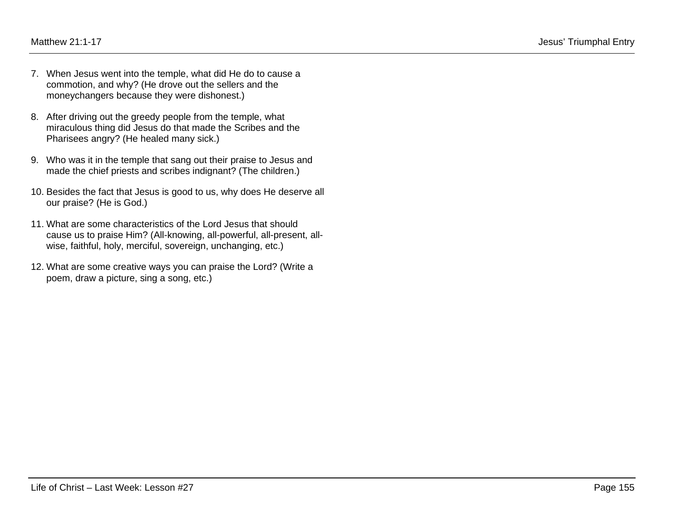- 7. When Jesus went into the temple, what did He do to cause a commotion, and why? (He drove out the sellers and the moneychangers because they were dishonest.)
- 8. After driving out the greedy people from the temple, what miraculous thing did Jesus do that made the Scribes and the Pharisees angry? (He healed many sick.)
- 9. Who was it in the temple that sang out their praise to Jesus and made the chief priests and scribes indignant? (The children.)
- 10. Besides the fact that Jesus is good to us, why does He deserve all our praise? (He is God.)
- 11. What are some characteristics of the Lord Jesus that should cause us to praise Him? (All-knowing, all-powerful, all-present, allwise, faithful, holy, merciful, sovereign, unchanging, etc.)
- 12. What are some creative ways you can praise the Lord? (Write a poem, draw a picture, sing a song, etc.)